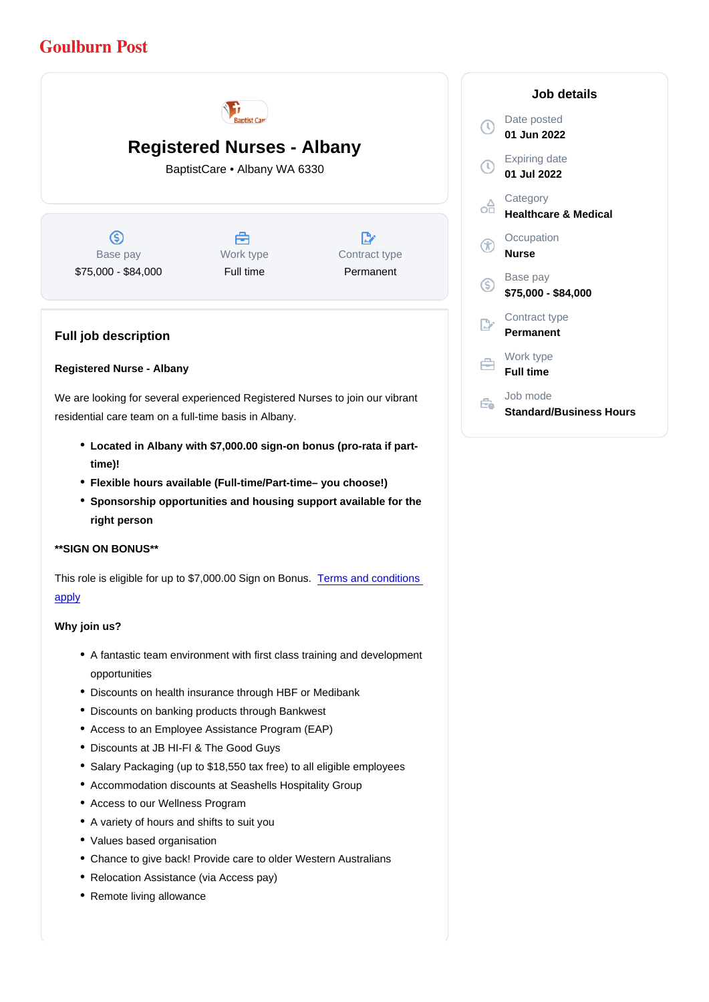# Registered Nurses - Albany

BaptistCare • Albany WA 6330

Base pay \$75,000 - \$84,000 Work type Full time

Contract type Permanent

Full job description

### Registered Nurse - Albany

We are looking for several experienced Registered Nurses to join our vibrant residential care team on a full-time basis in Albany.

- Located in Albany with \$7,000.00 sign-on bonus (pro-rata if parttime)!
- Flexible hours available (Full-time/Part-time– you choose!)
- Sponsorship opportunities and housing support available for the right person

\*\*SIGN ON BONUS\*\*

This role is eligible for up to \$7,000.00 Sign on Bonus. [Terms and conditions](https://www.baptistcare.com.au/tac/sign-on-bonus/)  [apply](https://www.baptistcare.com.au/tac/sign-on-bonus/)

Why join us?

- A fantastic team environment with first class training and development opportunities
- Discounts on health insurance through HBF or Medibank
- Discounts on banking products through Bankwest
- Access to an Employee Assistance Program (EAP)
- Discounts at JB HI-FI & The Good Guys
- Salary Packaging (up to \$18,550 tax free) to all eligible employees
- Accommodation discounts at Seashells Hospitality Group
- Access to our Wellness Program
- A variety of hours and shifts to suit you
- Values based organisation
- Chance to give back! Provide care to older Western Australians
- Relocation Assistance (via Access pay)
- Remote living allowance

Job details

Date posted 01 Jun 2022

Expiring date 01 Jul 2022

**Category** Healthcare & Medical

**Occupation** Nurse

Base pay \$75,000 - \$84,000

Contract type Permanent

Work type Full time

Job mode Standard/Business Hours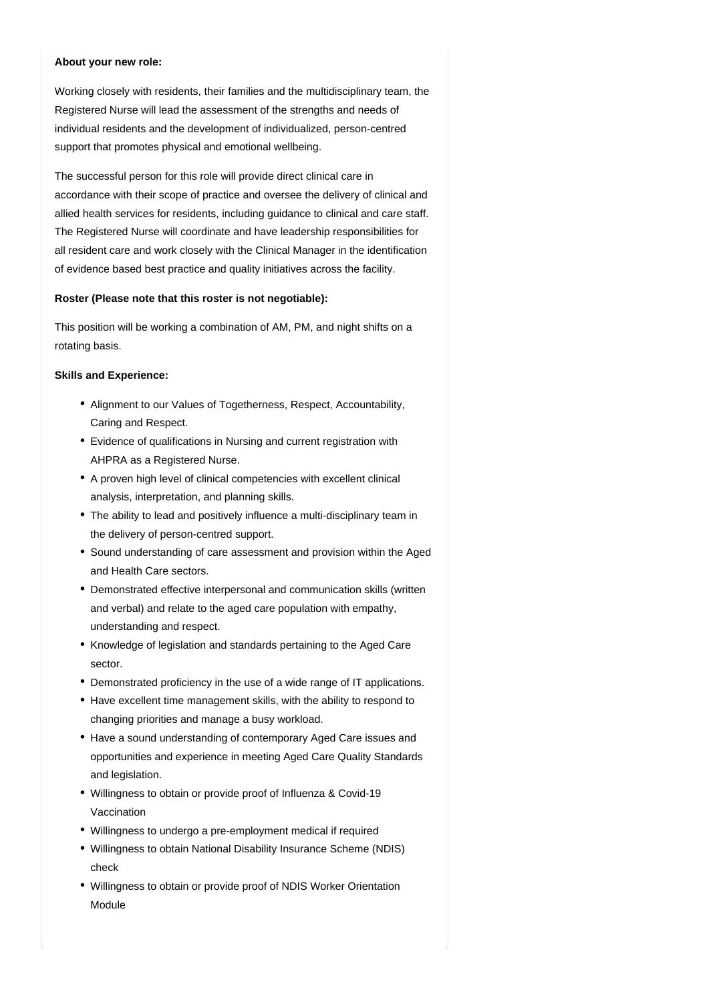#### **About your new role:**

Working closely with residents, their families and the multidisciplinary team, the Registered Nurse will lead the assessment of the strengths and needs of individual residents and the development of individualized, person-centred support that promotes physical and emotional wellbeing.

The successful person for this role will provide direct clinical care in accordance with their scope of practice and oversee the delivery of clinical and allied health services for residents, including guidance to clinical and care staff. The Registered Nurse will coordinate and have leadership responsibilities for all resident care and work closely with the Clinical Manager in the identification of evidence based best practice and quality initiatives across the facility.

#### **Roster (Please note that this roster is not negotiable):**

This position will be working a combination of AM, PM, and night shifts on a rotating basis.

#### **Skills and Experience:**

- Alignment to our Values of Togetherness, Respect, Accountability, Caring and Respect.
- Evidence of qualifications in Nursing and current registration with AHPRA as a Registered Nurse.
- A proven high level of clinical competencies with excellent clinical analysis, interpretation, and planning skills.
- The ability to lead and positively influence a multi-disciplinary team in the delivery of person-centred support.
- Sound understanding of care assessment and provision within the Aged and Health Care sectors.
- Demonstrated effective interpersonal and communication skills (written and verbal) and relate to the aged care population with empathy, understanding and respect.
- Knowledge of legislation and standards pertaining to the Aged Care sector.
- Demonstrated proficiency in the use of a wide range of IT applications.
- Have excellent time management skills, with the ability to respond to changing priorities and manage a busy workload.
- Have a sound understanding of contemporary Aged Care issues and opportunities and experience in meeting Aged Care Quality Standards and legislation.
- Willingness to obtain or provide proof of Influenza & Covid-19 Vaccination
- Willingness to undergo a pre-employment medical if required
- Willingness to obtain National Disability Insurance Scheme (NDIS) check
- Willingness to obtain or provide proof of NDIS Worker Orientation Module